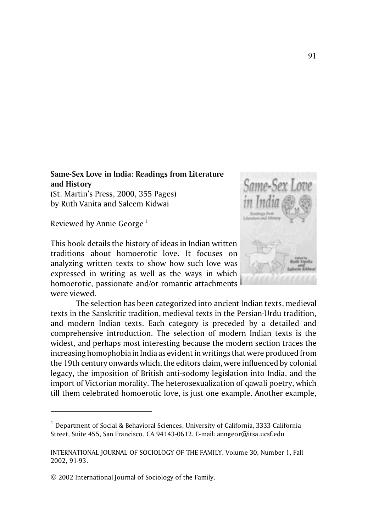## **Same-Sex Love in India: Readings from Literature and History** (St. Martin's Press, 2000, 355 Pages) by Ruth Vanita and Saleem Kidwai

Reviewed by Annie George<sup>1</sup>

This book details the history of ideas in Indian written traditions about homoerotic love. It focuses on analyzing written texts to show how such love was expressed in writing as well as the ways in which homoerotic, passionate and/or romantic attachments were viewed.



The selection has been categorized into ancient Indian texts, medieval texts in the Sanskritic tradition, medieval texts in the Persian-Urdu tradition, and modern Indian texts. Each category is preceded by a detailed and comprehensive introduction. The selection of modern Indian texts is the widest, and perhaps most interesting because the modern section traces the increasing homophobia in India as evident in writings that were produced from the 19th century onwards which, the editors claim, were influenced by colonial legacy, the imposition of British anti-sodomy legislation into India, and the import of Victorian morality. The heterosexualization of qawali poetry, which till them celebrated homoerotic love, is just one example. Another example,

<sup>&</sup>lt;sup>1</sup> Department of Social & Behavioral Sciences, University of California, 3333 California Street, Suite 455, San Francisco, CA 94143-0612. E-mail: anngeor@itsa.ucsf.edu

INTERNATIONAL JOURNAL OF SOCIOLOGY OF THE FAMILY, Volume 30, Number 1, Fall 2002, 91-93.

<sup>© 2002</sup> International Journal of Sociology of the Family.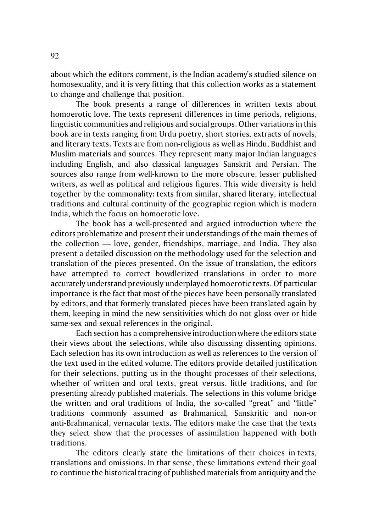about which the editors comment, is the Indian academy's studied silence on homosexuality, and it is very fitting that this collection works as a statement to change and challenge that position.

The book presents a range of differences in written texts about homoerotic love. The texts represent differences in time periods, religions, linguistic communities and religious and social groups. Other variations in this book are in texts ranging from Urdu poetry, short stories, extracts of novels, and literary texts. Texts are from non-religious as well as Hindu, Buddhist and Muslim materials and sources. They represent many major Indian languages including English, and also classical languages Sanskrit and Persian. The sources also range from well-known to the more obscure, lesser published writers, as well as political and religious figures. This wide diversity is held together by the commonality: texts from similar, shared literary, intellectual traditions and cultural continuity of the geographic region which is modern India, which the focus on homoerotic love.

The book has a well-presented and argued introduction where the editors problematize and present their understandings of the main themes of the collection — love, gender, friendships, marriage, and India. They also present a detailed discussion on the methodology used for the selection and translation of the pieces presented. On the issue of translation, the editors have attempted to correct bowdlerized translations in order to more accurately understand previously underplayed homoerotic texts. Of particular importance is the fact that most of the pieces have been personally translated by editors, and that formerly translated pieces have been translated again by them, keeping in mind the new sensitivities which do not gloss over or hide same-sex and sexual references in the original.

Each section has a comprehensive introduction where the editors state their views about the selections, while also discussing dissenting opinions. Each selection has its own introduction as well as references to the version of the text used in the edited volume. The editors provide detailed justification for their selections, putting us in the thought processes of their selections, whether of written and oral texts, great versus. little traditions, and for presenting already published materials. The selections in this volume bridge the written and oral traditions of India, the so-called "great" and "little" traditions commonly assumed as Brahmanical, Sanskritic and non-or anti-Brahmanical, vernacular texts. The editors make the case that the texts they select show that the processes of assimilation happened with both traditions.

The editors clearly state the limitations of their choices in texts, translations and omissions. In that sense, these limitations extend their goal to continue the historical tracing of published materials from antiquity and the